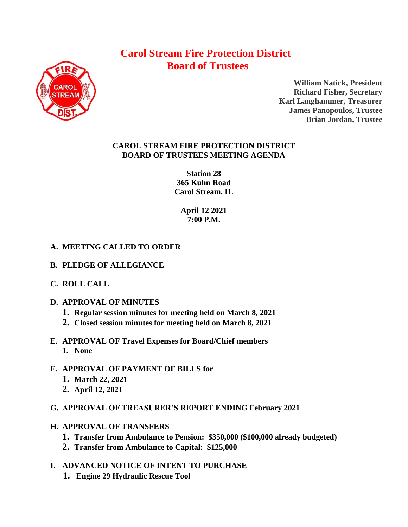# **Carol Stream Fire Protection District Board of Trustees**



**William Natick, President Richard Fisher, Secretary Karl Langhammer, Treasurer James Panopoulos, Trustee Brian Jordan, Trustee**

## **CAROL STREAM FIRE PROTECTION DISTRICT BOARD OF TRUSTEES MEETING AGENDA**

**Station 28 365 Kuhn Road Carol Stream, IL** 

> **April 12 2021 7:00 P.M.**

# **A. MEETING CALLED TO ORDER**

- **B. PLEDGE OF ALLEGIANCE**
- **C. ROLL CALL**
- **D. APPROVAL OF MINUTES**
	- **1. Regular session minutes for meeting held on March 8, 2021**
	- **2. Closed session minutes for meeting held on March 8, 2021**
- **E. APPROVAL OF Travel Expenses for Board/Chief members 1. None**
- **F. APPROVAL OF PAYMENT OF BILLS for**
	- **1. March 22, 2021**
	- **2. April 12, 2021**
- **G. APPROVAL OF TREASURER'S REPORT ENDING February 2021**
- **H. APPROVAL OF TRANSFERS**
	- **1. Transfer from Ambulance to Pension: \$350,000 (\$100,000 already budgeted)**
	- **2. Transfer from Ambulance to Capital: \$125,000**
- **I. ADVANCED NOTICE OF INTENT TO PURCHASE** 
	- **1. Engine 29 Hydraulic Rescue Tool**